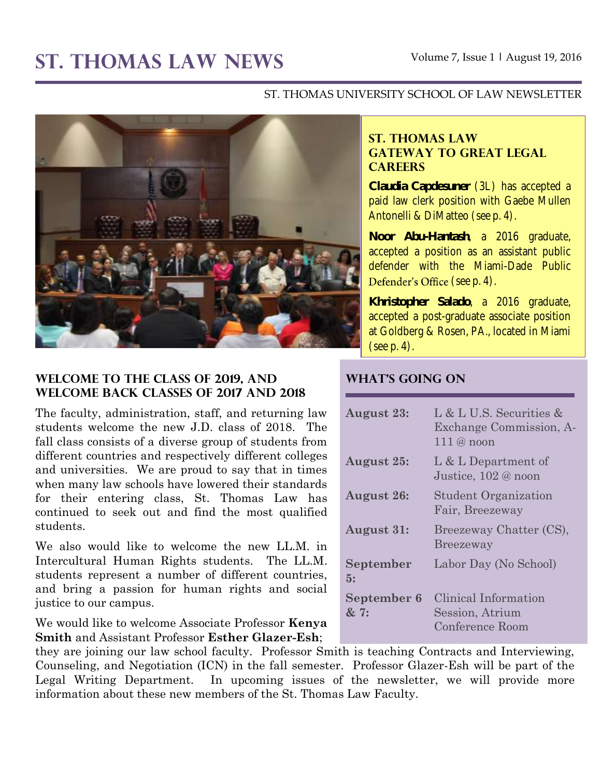# **ST. THOMAS LAW NEWS** Volume 7, Issue 1 **<sup>|</sup>** August 19, 2016

#### ST. THOMAS UNIVERSITY SCHOOL OF LAW NEWSLETTER



## **WELCOME TO THE CLASS OF 2019, AND WELCOME BACK CLASSES OF 2017 AND 2018**

The faculty, administration, staff, and returning law students welcome the new J.D. class of 2018. The fall class consists of a diverse group of students from different countries and respectively different colleges and universities. We are proud to say that in times when many law schools have lowered their standards for their entering class, St. Thomas Law has continued to seek out and find the most qualified students.

We also would like to welcome the new LL.M. in Intercultural Human Rights students. The LL.M. students represent a number of different countries, and bring a passion for human rights and social justice to our campus.

We would like to welcome Associate Professor **Kenya Smith** and Assistant Professor **Esther Glazer-Esh**;

## **ST. THOMAS LAW GATEWAY TO GREAT LEGAL CAREERS**

**Claudia Capdesuner** (3L) has accepted a paid law clerk position with Gaebe Mullen Antonelli & DiMatteo (see p. 4).

**Noor Abu-Hantash**, a 2016 graduate, accepted a position as an assistant public defender with the Miami-Dade Public Defender's Office (see p. 4).

**Khristopher Salado**, a 2016 graduate, accepted a post-graduate associate position at Goldberg & Rosen, PA., located in Miami (see p. 4).

## **WHAT'S GOING ON**

| <b>August 23:</b>   | L & L U.S. Securities &<br>Exchange Commission, A-<br>$111@$ noon |
|---------------------|-------------------------------------------------------------------|
| August 25:          | L & L Department of<br>Justice, 102 @ noon                        |
| <b>August 26:</b>   | <b>Student Organization</b><br>Fair, Breezeway                    |
| <b>August 31:</b>   | Breezeway Chatter (CS),<br><b>Breezeway</b>                       |
| September<br>5:     | Labor Day (No School)                                             |
| September 6<br>& 7: | Clinical Information<br>Session, Atrium<br>Conference Room        |

they are joining our law school faculty. Professor Smith is teaching Contracts and Interviewing, Counseling, and Negotiation (ICN) in the fall semester. Professor Glazer-Esh will be part of the Legal Writing Department. In upcoming issues of the newsletter, we will provide more information about these new members of the St. Thomas Law Faculty.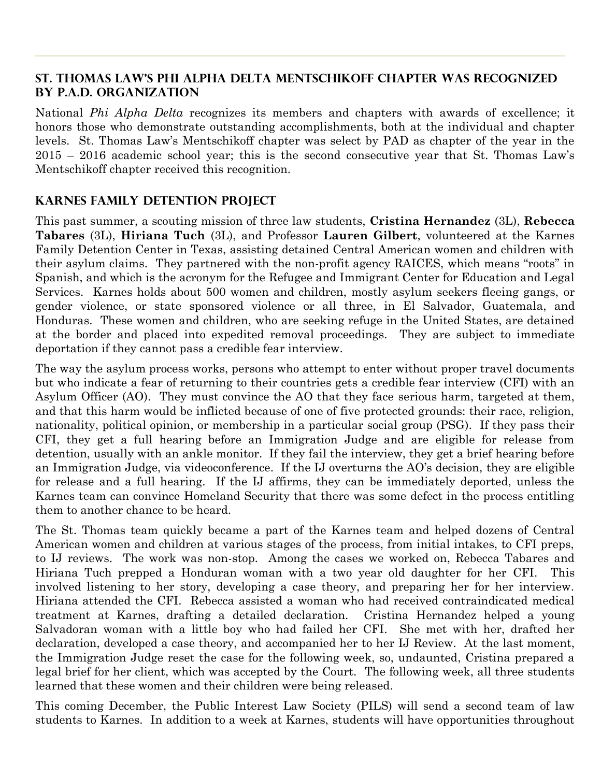## **St. Thomas Law's Phi Alpha Delta Mentschikoff Chapter was recognized by P.A.D. Organization**

National *Phi Alpha Delta* recognizes its members and chapters with awards of excellence; it honors those who demonstrate outstanding accomplishments, both at the individual and chapter levels. St. Thomas Law's Mentschikoff chapter was select by PAD as chapter of the year in the 2015 – 2016 academic school year; this is the second consecutive year that St. Thomas Law's Mentschikoff chapter received this recognition.

## **Karnes family detention project**

This past summer, a scouting mission of three law students, **Cristina Hernandez** (3L), **Rebecca Tabares** (3L), **Hiriana Tuch** (3L), and Professor **Lauren Gilbert**, volunteered at the Karnes Family Detention Center in Texas, assisting detained Central American women and children with their asylum claims. They partnered with the non-profit agency RAICES, which means "roots" in Spanish, and which is the acronym for the Refugee and Immigrant Center for Education and Legal Services. Karnes holds about 500 women and children, mostly asylum seekers fleeing gangs, or gender violence, or state sponsored violence or all three, in El Salvador, Guatemala, and Honduras. These women and children, who are seeking refuge in the United States, are detained at the border and placed into expedited removal proceedings. They are subject to immediate deportation if they cannot pass a credible fear interview.

The way the asylum process works, persons who attempt to enter without proper travel documents but who indicate a fear of returning to their countries gets a credible fear interview (CFI) with an Asylum Officer (AO). They must convince the AO that they face serious harm, targeted at them, and that this harm would be inflicted because of one of five protected grounds: their race, religion, nationality, political opinion, or membership in a particular social group (PSG). If they pass their CFI, they get a full hearing before an Immigration Judge and are eligible for release from detention, usually with an ankle monitor. If they fail the interview, they get a brief hearing before an Immigration Judge, via videoconference. If the IJ overturns the AO's decision, they are eligible for release and a full hearing. If the IJ affirms, they can be immediately deported, unless the Karnes team can convince Homeland Security that there was some defect in the process entitling them to another chance to be heard.

The St. Thomas team quickly became a part of the Karnes team and helped dozens of Central American women and children at various stages of the process, from initial intakes, to CFI preps, to IJ reviews. The work was non-stop. Among the cases we worked on, Rebecca Tabares and Hiriana Tuch prepped a Honduran woman with a two year old daughter for her CFI. This involved listening to her story, developing a case theory, and preparing her for her interview. Hiriana attended the CFI. Rebecca assisted a woman who had received contraindicated medical treatment at Karnes, drafting a detailed declaration. Cristina Hernandez helped a young Salvadoran woman with a little boy who had failed her CFI. She met with her, drafted her declaration, developed a case theory, and accompanied her to her IJ Review. At the last moment, the Immigration Judge reset the case for the following week, so, undaunted, Cristina prepared a legal brief for her client, which was accepted by the Court. The following week, all three students learned that these women and their children were being released.

This coming December, the Public Interest Law Society (PILS) will send a second team of law students to Karnes. In addition to a week at Karnes, students will have opportunities throughout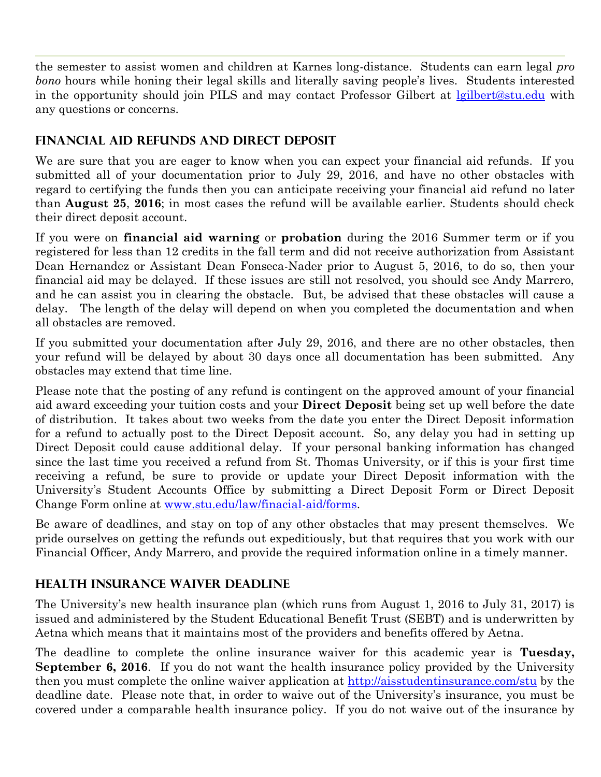the semester to assist women and children at Karnes long-distance. Students can earn legal *pro bono* hours while honing their legal skills and literally saving people's lives. Students interested in the opportunity should join PILS and may contact Professor Gilbert at [lgilbert@stu.edu](mailto:lgilbert@stu.edu) with any questions or concerns.

# **FINANCIAL AID REFUNDS AND DIRECT DEPOSIT**

We are sure that you are eager to know when you can expect your financial aid refunds. If you submitted all of your documentation prior to July 29, 2016, and have no other obstacles with regard to certifying the funds then you can anticipate receiving your financial aid refund no later than **August 25**, **2016**; in most cases the refund will be available earlier. Students should check their direct deposit account.

If you were on **financial aid warning** or **probation** during the 2016 Summer term or if you registered for less than 12 credits in the fall term and did not receive authorization from Assistant Dean Hernandez or Assistant Dean Fonseca-Nader prior to August 5, 2016, to do so, then your financial aid may be delayed. If these issues are still not resolved, you should see Andy Marrero, and he can assist you in clearing the obstacle. But, be advised that these obstacles will cause a delay. The length of the delay will depend on when you completed the documentation and when all obstacles are removed.

If you submitted your documentation after July 29, 2016, and there are no other obstacles, then your refund will be delayed by about 30 days once all documentation has been submitted. Any obstacles may extend that time line.

Please note that the posting of any refund is contingent on the approved amount of your financial aid award exceeding your tuition costs and your **Direct Deposit** being set up well before the date of distribution. It takes about two weeks from the date you enter the Direct Deposit information for a refund to actually post to the Direct Deposit account. So, any delay you had in setting up Direct Deposit could cause additional delay. If your personal banking information has changed since the last time you received a refund from St. Thomas University, or if this is your first time receiving a refund, be sure to provide or update your Direct Deposit information with the University's Student Accounts Office by submitting a Direct Deposit Form or Direct Deposit Change Form online at [www.stu.edu/law/finacial-aid/forms.](http://www.stu.edu/law/finacial-aid/forms)

Be aware of deadlines, and stay on top of any other obstacles that may present themselves. We pride ourselves on getting the refunds out expeditiously, but that requires that you work with our Financial Officer, Andy Marrero, and provide the required information online in a timely manner.

# **HEALTH INSURANCE WAIVER DEADLINE**

The University's new health insurance plan (which runs from August 1, 2016 to July 31, 2017) is issued and administered by the Student Educational Benefit Trust (SEBT) and is underwritten by Aetna which means that it maintains most of the providers and benefits offered by Aetna.

The deadline to complete the online insurance waiver for this academic year is **Tuesday, September 6, 2016**. If you do not want the health insurance policy provided by the University then you must complete the online waiver application at<http://aisstudentinsurance.com/stu> by the deadline date. Please note that, in order to waive out of the University's insurance, you must be covered under a comparable health insurance policy. If you do not waive out of the insurance by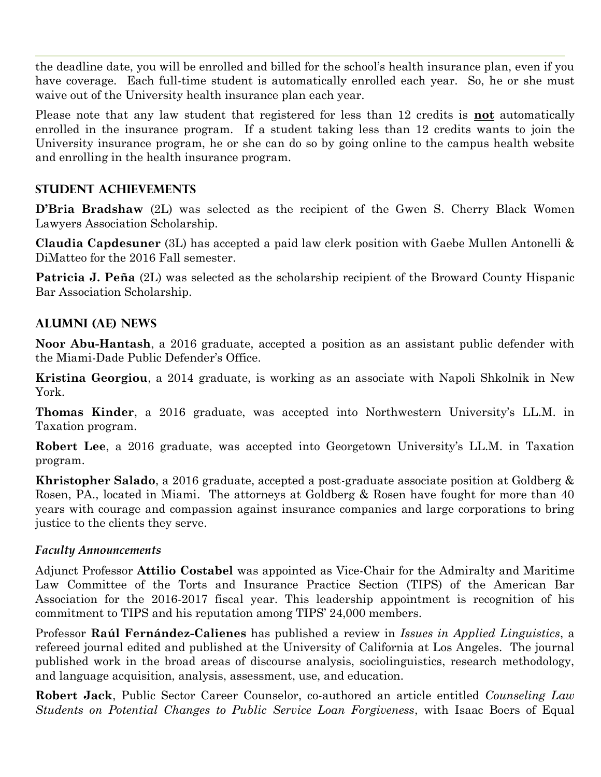the deadline date, you will be enrolled and billed for the school's health insurance plan, even if you have coverage. Each full-time student is automatically enrolled each year. So, he or she must waive out of the University health insurance plan each year.

Please note that any law student that registered for less than 12 credits is **not** automatically enrolled in the insurance program. If a student taking less than 12 credits wants to join the University insurance program, he or she can do so by going online to the campus health website and enrolling in the health insurance program.

## **STUDENT ACHIEVEMENTS**

**D'Bria Bradshaw** (2L) was selected as the recipient of the Gwen S. Cherry Black Women Lawyers Association Scholarship.

**Claudia Capdesuner** (3L) has accepted a paid law clerk position with Gaebe Mullen Antonelli & DiMatteo for the 2016 Fall semester.

**Patricia J. Peña** (2L) was selected as the scholarship recipient of the Broward County Hispanic Bar Association Scholarship.

# **ALUMNI (AE) NEWS**

**Noor Abu-Hantash**, a 2016 graduate, accepted a position as an assistant public defender with the Miami-Dade Public Defender's Office.

**Kristina Georgiou**, a 2014 graduate, is working as an associate with Napoli Shkolnik in New York.

**Thomas Kinder**, a 2016 graduate, was accepted into Northwestern University's LL.M. in Taxation program.

**Robert Lee**, a 2016 graduate, was accepted into Georgetown University's LL.M. in Taxation program.

**Khristopher Salado**, a 2016 graduate, accepted a post-graduate associate position at Goldberg & Rosen, PA., located in Miami. The attorneys at Goldberg & Rosen have fought for more than 40 years with courage and compassion against insurance companies and large corporations to bring justice to the clients they serve.

## *Faculty Announcements*

Adjunct Professor **Attilio Costabel** was appointed as Vice-Chair for the Admiralty and Maritime Law Committee of the Torts and Insurance Practice Section (TIPS) of the American Bar Association for the 2016-2017 fiscal year. This leadership appointment is recognition of his commitment to TIPS and his reputation among TIPS' 24,000 members.

Professor **Raúl Fernández-Calienes** has published a review in *Issues in Applied Linguistics*, a refereed journal edited and published at the University of California at Los Angeles. The journal published work in the broad areas of discourse analysis, sociolinguistics, research methodology, and language acquisition, analysis, assessment, use, and education.

**Robert Jack**, Public Sector Career Counselor, co-authored an article entitled *Counseling Law Students on Potential Changes to Public Service Loan Forgiveness*, with Isaac Boers of Equal